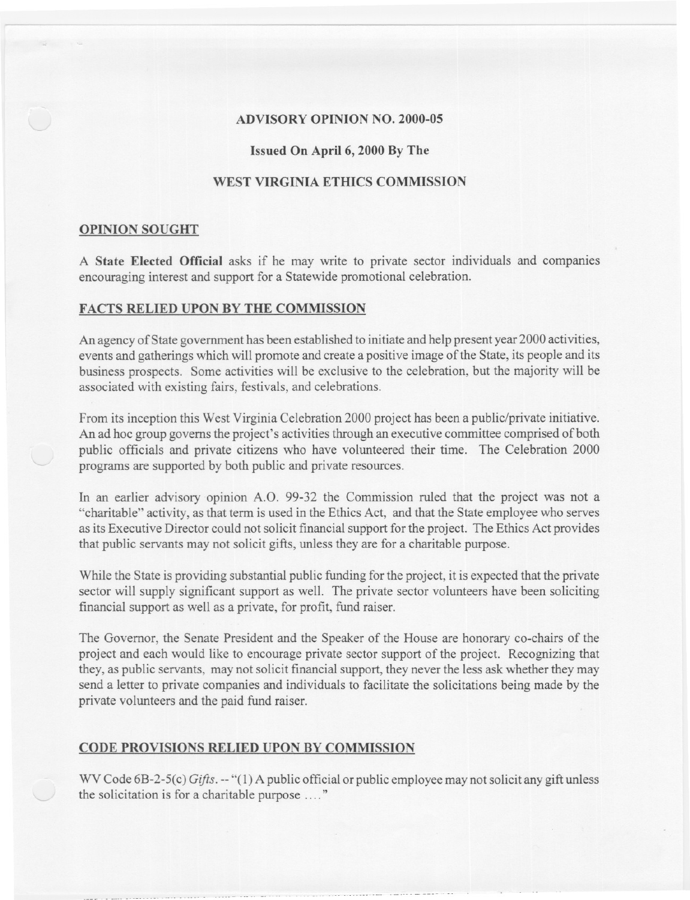## ADVISORY OPINION NO. 2000-05

- - -

#### Issued On April 6, 2000 By The

# WEST VIRGINIA ETHICS COMMISSION

#### OPINION SOUGHT

A State Elected Official asks if he may write to private sector individuals and companies encouraging interest and support for a Statewide promotional celebration.

# FACTS RELIED UPON BY THE COMMISSION

An agency of State government has been established to initiate and help present year 2000 activities, events and gatherings which will promote and create a positive image of the State, its people and its business prospects. Some activities will be exclusive to the celebration, but the majority will be associated with existing fairs, festivals, and celebrations.

From its inception this West Virginia Celebration 2000 project has been a public/private initiative. An ad hoc group governs the project's activities through an executive committee comprised of both public officials and private citizens who have volunteered their time. The Celebration 2000 programs are supported by both public and private resources.

In an earlier advisory opinion *A.D.* 99-32 the Commission ruled that the project was not a "charitable" activity, as that term is used in the Ethics Act, and that the State employee who serves as its Executive Director could not solicit financial support for the project. The Ethics Act provides that public servants may not solicit gifts, unless they are for a charitable purpose.

While the State is providing substantial public funding for the project, it is expected that the private sector will supply significant support as well. The private sector volunteers have been soliciting financial support as well as a private, for profit, fund raiser.

The Governor, the Senate President and the Speaker of the House are honorary co-chairs of the project and each would like to encourage private sector support of the project. Recognizing that they, as public servants, may not solicit financial support, they never the less ask whether they may send a letter to private companies and individuals to facilitate the solicitations being made by the private volunteers and the paid fund raiser.

## CODE PROVISIONS RELIED UPON BY COMMISSION

WV Code 6B-2-5(c) *Gifts.* -- "(1) A public official or public employee may not solicit any gift unless the solicitation is for a charitable purpose  $\ldots$ "

-." -..-- -.. --- -. ... - - -- --+-